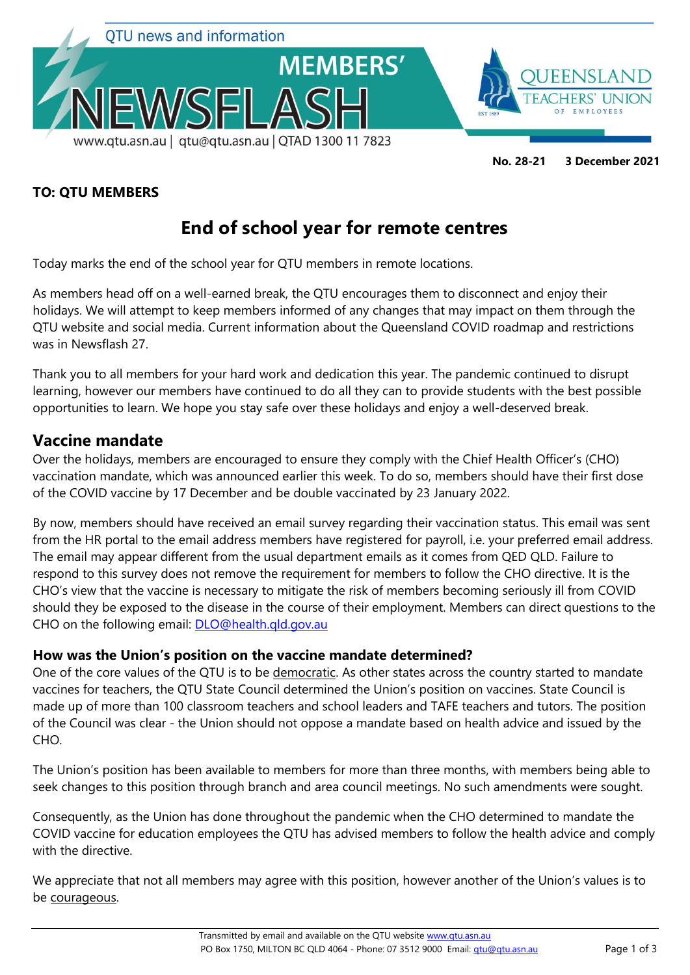

#### **TO: QTU MEMBERS**

# **End of school year for remote centres**

Today marks the end of the school year for QTU members in remote locations.

As members head off on a well-earned break, the QTU encourages them to disconnect and enjoy their holidays. We will attempt to keep members informed of any changes that may impact on them through the QTU website and social media. Current information about the Queensland COVID roadmap and restrictions was in Newsflash 27.

Thank you to all members for your hard work and dedication this year. The pandemic continued to disrupt learning, however our members have continued to do all they can to provide students with the best possible opportunities to learn. We hope you stay safe over these holidays and enjoy a well-deserved break.

### **Vaccine mandate**

Over the holidays, members are encouraged to ensure they comply with the Chief Health Officer's (CHO) vaccination mandate, which was announced earlier this week. To do so, members should have their first dose of the COVID vaccine by 17 December and be double vaccinated by 23 January 2022.

By now, members should have received an email survey regarding their vaccination status. This email was sent from the HR portal to the email address members have registered for payroll, i.e. your preferred email address. The email may appear different from the usual department emails as it comes from QED QLD. Failure to respond to this survey does not remove the requirement for members to follow the CHO directive. It is the CHO's view that the vaccine is necessary to mitigate the risk of members becoming seriously ill from COVID should they be exposed to the disease in the course of their employment. Members can direct questions to the CHO on the following email: [DLO@health.qld.gov.au](mailto:DLO@health.qld.gov.au)

### **How was the Union's position on the vaccine mandate determined?**

One of the core values of the QTU is to be democratic. As other states across the country started to mandate vaccines for teachers, the QTU State Council determined the Union's position on vaccines. State Council is made up of more than 100 classroom teachers and school leaders and TAFE teachers and tutors. The position of the Council was clear - the Union should not oppose a mandate based on health advice and issued by the CHO.

The Union's position has been available to members for more than three months, with members being able to seek changes to this position through branch and area council meetings. No such amendments were sought.

Consequently, as the Union has done throughout the pandemic when the CHO determined to mandate the COVID vaccine for education employees the QTU has advised members to follow the health advice and comply with the directive.

We appreciate that not all members may agree with this position, however another of the Union's values is to be courageous.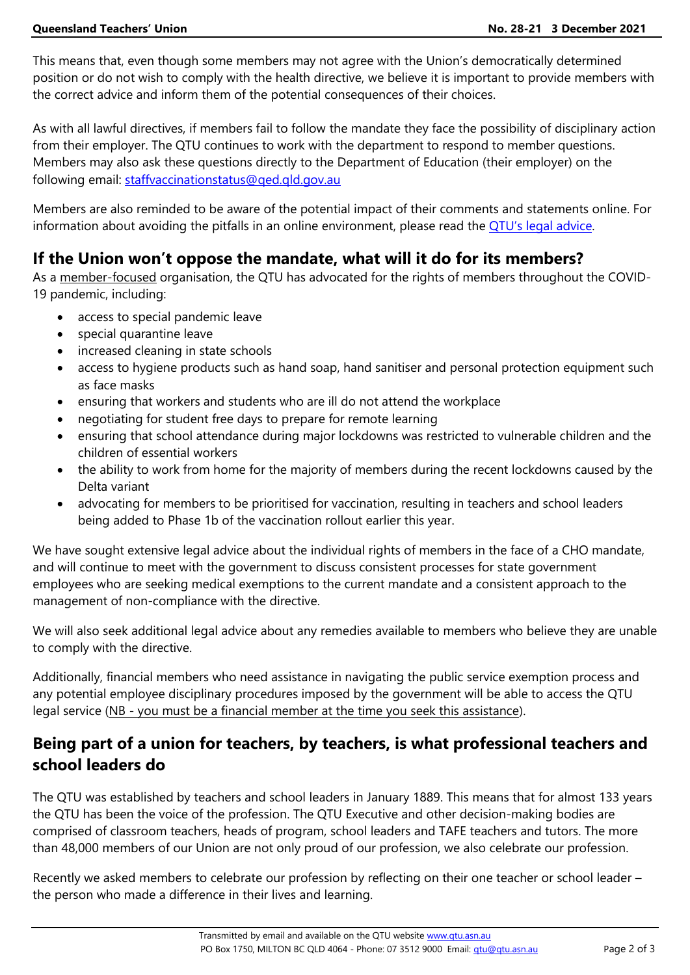This means that, even though some members may not agree with the Union's democratically determined position or do not wish to comply with the health directive, we believe it is important to provide members with the correct advice and inform them of the potential consequences of their choices.

As with all lawful directives, if members fail to follow the mandate they face the possibility of disciplinary action from their employer. The QTU continues to work with the department to respond to member questions. Members may also ask these questions directly to the Department of Education (their employer) on the following email: [staffvaccinationstatus@qed.qld.gov.au](mailto:staffvaccinationstatus@qed.qld.gov.au)

Members are also reminded to be aware of the potential impact of their comments and statements online. For information about avoiding the pitfalls in an online environment, please read the **[QTU's legal advice](https://www.qtu.asn.au/ne-connect-sept2020-p05#FAQs)**.

# **If the Union won't oppose the mandate, what will it do for its members?**

As a member-focused organisation, the QTU has advocated for the rights of members throughout the COVID-19 pandemic, including:

- access to special pandemic leave
- special quarantine leave
- increased cleaning in state schools
- access to hygiene products such as hand soap, hand sanitiser and personal protection equipment such as face masks
- ensuring that workers and students who are ill do not attend the workplace
- negotiating for student free days to prepare for remote learning
- ensuring that school attendance during major lockdowns was restricted to vulnerable children and the children of essential workers
- the ability to work from home for the majority of members during the recent lockdowns caused by the Delta variant
- advocating for members to be prioritised for vaccination, resulting in teachers and school leaders being added to Phase 1b of the vaccination rollout earlier this year.

We have sought extensive legal advice about the individual rights of members in the face of a CHO mandate, and will continue to meet with the government to discuss consistent processes for state government employees who are seeking medical exemptions to the current mandate and a consistent approach to the management of non-compliance with the directive.

We will also seek additional legal advice about any remedies available to members who believe they are unable to comply with the directive.

Additionally, financial members who need assistance in navigating the public service exemption process and any potential employee disciplinary procedures imposed by the government will be able to access the QTU legal service (NB - you must be a financial member at the time you seek this assistance).

# **Being part of a union for teachers, by teachers, is what professional teachers and school leaders do**

The QTU was established by teachers and school leaders in January 1889. This means that for almost 133 years the QTU has been the voice of the profession. The QTU Executive and other decision-making bodies are comprised of classroom teachers, heads of program, school leaders and TAFE teachers and tutors. The more than 48,000 members of our Union are not only proud of our profession, we also celebrate our profession.

Recently we asked members to celebrate our profession by reflecting on their one teacher or school leader – the person who made a difference in their lives and learning.